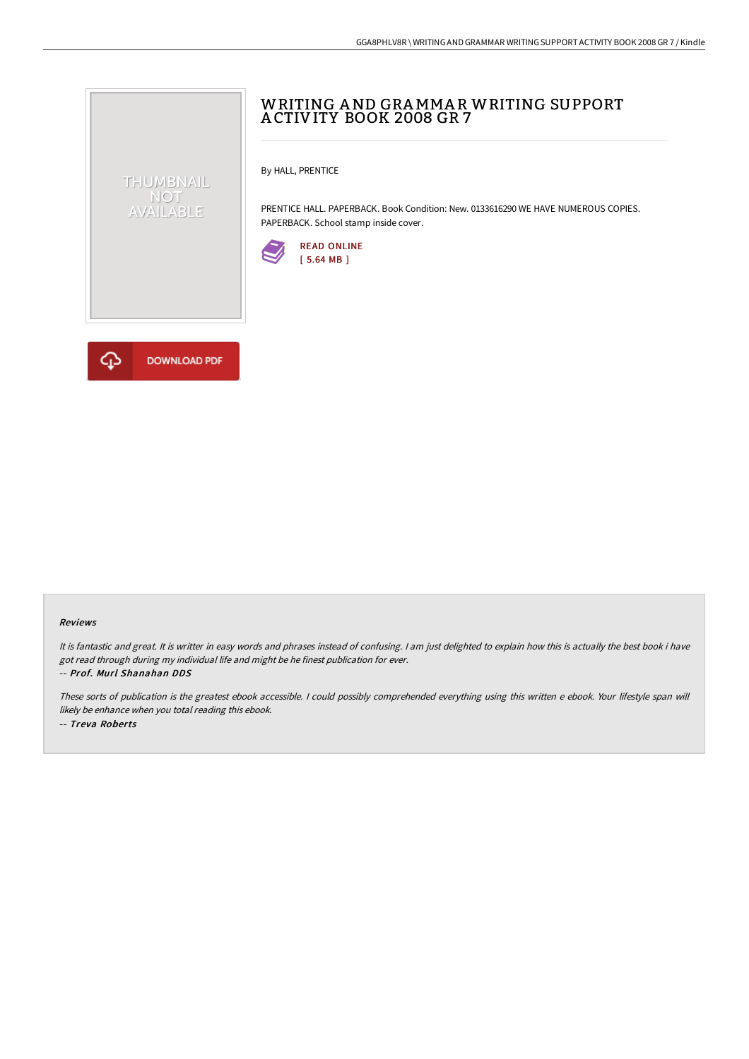# WRITING AND GRAMMAR WRITING SUPPORT A CTIVITY BOOK 2008 GR 7

By HALL, PRENTICE

PRENTICE HALL. PAPERBACK. Book Condition: New. 0133616290 WE HAVE NUMEROUS COPIES. PAPERBACK. School stamp inside cover.





THUMBNAIL NOT<br>AVAILABLE

#### Reviews

It is fantastic and great. It is writter in easy words and phrases instead of confusing. <sup>I</sup> am just delighted to explain how this is actually the best book i have got read through during my individual life and might be he finest publication for ever. -- Prof. Murl Shanahan DDS

These sorts of publication is the greatest ebook accessible. <sup>I</sup> could possibly comprehended everything using this written <sup>e</sup> ebook. Your lifestyle span will likely be enhance when you total reading this ebook. -- Treva Roberts